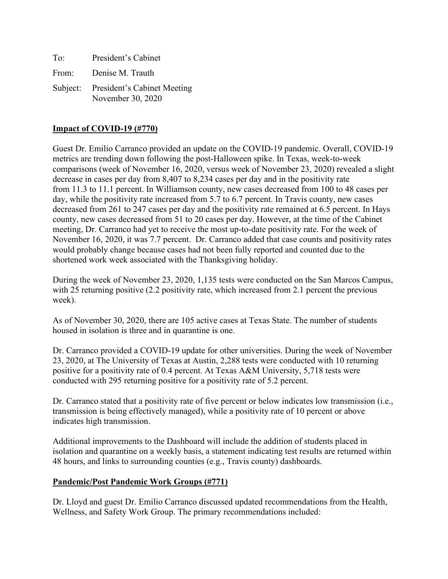| To: | President's Cabinet                                       |
|-----|-----------------------------------------------------------|
|     | From: Denise M. Trauth                                    |
|     | Subject: President's Cabinet Meeting<br>November 30, 2020 |

# **Impact of COVID-19 (#770)**

Guest Dr. Emilio Carranco provided an update on the COVID-19 pandemic. Overall, COVID-19 metrics are trending down following the post-Halloween spike. In Texas, week-to-week comparisons (week of November 16, 2020, versus week of November 23, 2020) revealed a slight decrease in cases per day from 8,407 to 8,234 cases per day and in the positivity rate from 11.3 to 11.1 percent. In Williamson county, new cases decreased from 100 to 48 cases per day, while the positivity rate increased from 5.7 to 6.7 percent. In Travis county, new cases decreased from 261 to 247 cases per day and the positivity rate remained at 6.5 percent. In Hays county, new cases decreased from 51 to 20 cases per day. However, at the time of the Cabinet meeting, Dr. Carranco had yet to receive the most up-to-date positivity rate. For the week of November 16, 2020, it was 7.7 percent. Dr. Carranco added that case counts and positivity rates would probably change because cases had not been fully reported and counted due to the shortened work week associated with the Thanksgiving holiday.

During the week of November 23, 2020, 1,135 tests were conducted on the San Marcos Campus, with 25 returning positive (2.2 positivity rate, which increased from 2.1 percent the previous week).

As of November 30, 2020, there are 105 active cases at Texas State. The number of students housed in isolation is three and in quarantine is one.

Dr. Carranco provided a COVID-19 update for other universities. During the week of November 23, 2020, at The University of Texas at Austin, 2,288 tests were conducted with 10 returning positive for a positivity rate of 0.4 percent. At Texas A&M University, 5,718 tests were conducted with 295 returning positive for a positivity rate of 5.2 percent.

Dr. Carranco stated that a positivity rate of five percent or below indicates low transmission (i.e., transmission is being effectively managed), while a positivity rate of 10 percent or above indicates high transmission.

Additional improvements to the Dashboard will include the addition of students placed in isolation and quarantine on a weekly basis, a statement indicating test results are returned within 48 hours, and links to surrounding counties (e.g., Travis county) dashboards.

# **Pandemic/Post Pandemic Work Groups (#771)**

Dr. Lloyd and guest Dr. Emilio Carranco discussed updated recommendations from the Health, Wellness, and Safety Work Group. The primary recommendations included: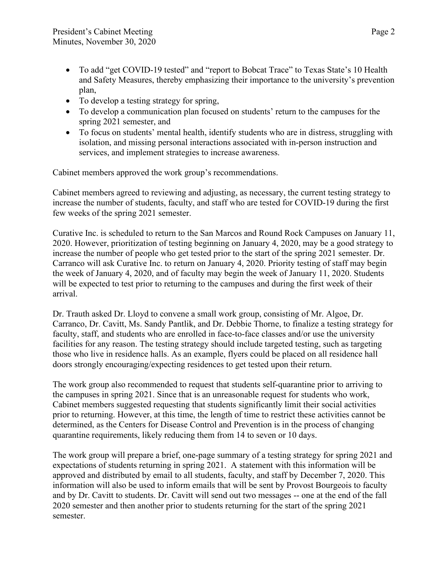- To add "get COVID-19 tested" and "report to Bobcat Trace" to Texas State's 10 Health and Safety Measures, thereby emphasizing their importance to the university's prevention plan,
- To develop a testing strategy for spring,
- To develop a communication plan focused on students' return to the campuses for the spring 2021 semester, and
- To focus on students' mental health, identify students who are in distress, struggling with isolation, and missing personal interactions associated with in-person instruction and services, and implement strategies to increase awareness.

Cabinet members approved the work group's recommendations.

Cabinet members agreed to reviewing and adjusting, as necessary, the current testing strategy to increase the number of students, faculty, and staff who are tested for COVID-19 during the first few weeks of the spring 2021 semester.

Curative Inc. is scheduled to return to the San Marcos and Round Rock Campuses on January 11, 2020. However, prioritization of testing beginning on January 4, 2020, may be a good strategy to increase the number of people who get tested prior to the start of the spring 2021 semester. Dr. Carranco will ask Curative Inc. to return on January 4, 2020. Priority testing of staff may begin the week of January 4, 2020, and of faculty may begin the week of January 11, 2020. Students will be expected to test prior to returning to the campuses and during the first week of their arrival.

Dr. Trauth asked Dr. Lloyd to convene a small work group, consisting of Mr. Algoe, Dr. Carranco, Dr. Cavitt, Ms. Sandy Pantlik, and Dr. Debbie Thorne, to finalize a testing strategy for faculty, staff, and students who are enrolled in face-to-face classes and/or use the university facilities for any reason. The testing strategy should include targeted testing, such as targeting those who live in residence halls. As an example, flyers could be placed on all residence hall doors strongly encouraging/expecting residences to get tested upon their return.

The work group also recommended to request that students self-quarantine prior to arriving to the campuses in spring 2021. Since that is an unreasonable request for students who work, Cabinet members suggested requesting that students significantly limit their social activities prior to returning. However, at this time, the length of time to restrict these activities cannot be determined, as the Centers for Disease Control and Prevention is in the process of changing quarantine requirements, likely reducing them from 14 to seven or 10 days.

The work group will prepare a brief, one-page summary of a testing strategy for spring 2021 and expectations of students returning in spring 2021. A statement with this information will be approved and distributed by email to all students, faculty, and staff by December 7, 2020. This information will also be used to inform emails that will be sent by Provost Bourgeois to faculty and by Dr. Cavitt to students. Dr. Cavitt will send out two messages -- one at the end of the fall 2020 semester and then another prior to students returning for the start of the spring 2021 semester.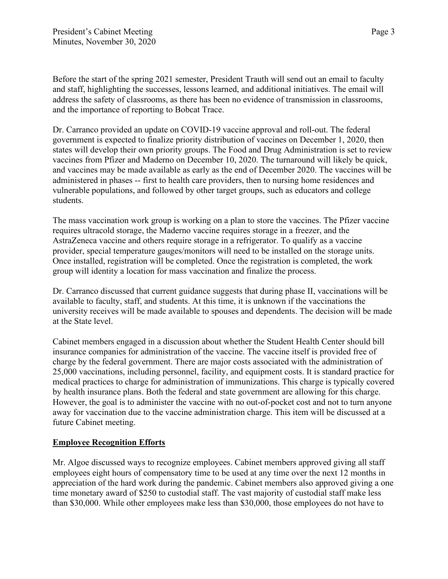Before the start of the spring 2021 semester, President Trauth will send out an email to faculty and staff, highlighting the successes, lessons learned, and additional initiatives. The email will address the safety of classrooms, as there has been no evidence of transmission in classrooms, and the importance of reporting to Bobcat Trace.

Dr. Carranco provided an update on COVID-19 vaccine approval and roll-out. The federal government is expected to finalize priority distribution of vaccines on December 1, 2020, then states will develop their own priority groups. The Food and Drug Administration is set to review vaccines from Pfizer and Maderno on December 10, 2020. The turnaround will likely be quick, and vaccines may be made available as early as the end of December 2020. The vaccines will be administered in phases -- first to health care providers, then to nursing home residences and vulnerable populations, and followed by other target groups, such as educators and college students.

The mass vaccination work group is working on a plan to store the vaccines. The Pfizer vaccine requires ultracold storage, the Maderno vaccine requires storage in a freezer, and the AstraZeneca vaccine and others require storage in a refrigerator. To qualify as a vaccine provider, special temperature gauges/monitors will need to be installed on the storage units. Once installed, registration will be completed. Once the registration is completed, the work group will identity a location for mass vaccination and finalize the process.

Dr. Carranco discussed that current guidance suggests that during phase II, vaccinations will be available to faculty, staff, and students. At this time, it is unknown if the vaccinations the university receives will be made available to spouses and dependents. The decision will be made at the State level.

Cabinet members engaged in a discussion about whether the Student Health Center should bill insurance companies for administration of the vaccine. The vaccine itself is provided free of charge by the federal government. There are major costs associated with the administration of 25,000 vaccinations, including personnel, facility, and equipment costs. It is standard practice for medical practices to charge for administration of immunizations. This charge is typically covered by health insurance plans. Both the federal and state government are allowing for this charge. However, the goal is to administer the vaccine with no out-of-pocket cost and not to turn anyone away for vaccination due to the vaccine administration charge. This item will be discussed at a future Cabinet meeting.

# **Employee Recognition Efforts**

Mr. Algoe discussed ways to recognize employees. Cabinet members approved giving all staff employees eight hours of compensatory time to be used at any time over the next 12 months in appreciation of the hard work during the pandemic. Cabinet members also approved giving a one time monetary award of \$250 to custodial staff. The vast majority of custodial staff make less than \$30,000. While other employees make less than \$30,000, those employees do not have to